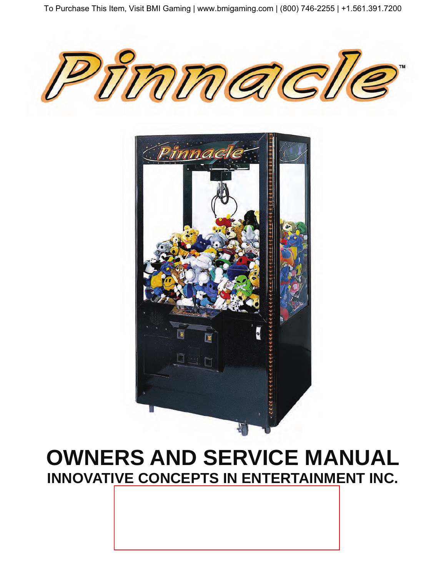



# **OWNERS AND SERVICE MANUAL INNOVATIVE CONCEPTS IN ENTERTAINMENT INC.**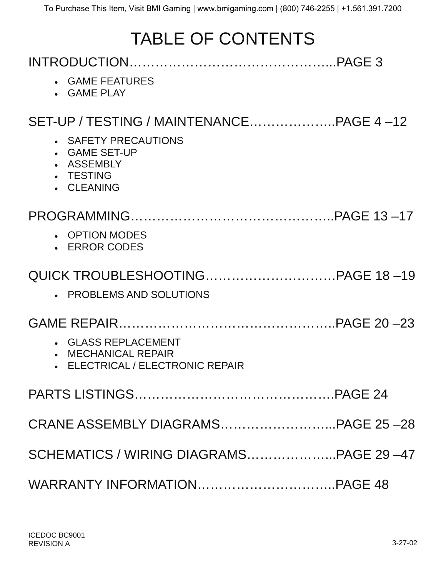# TABLE OF CONTENTS

| • GAME FEATURES<br>• GAME PLAY                                                      |  |
|-------------------------------------------------------------------------------------|--|
|                                                                                     |  |
| • SAFETY PRECAUTIONS<br>• GAME SET-UP<br>• ASSEMBLY<br>• TESTING<br>• CLEANING      |  |
|                                                                                     |  |
| • OPTION MODES<br>• ERROR CODES                                                     |  |
|                                                                                     |  |
| • PROBLEMS AND SOLUTIONS                                                            |  |
|                                                                                     |  |
| • GLASS REPLACEMENT<br>• MECHANICAL REPAIR<br><b>ELECTRICAL / ELECTRONIC REPAIR</b> |  |
|                                                                                     |  |
|                                                                                     |  |
| SCHEMATICS / WIRING DIAGRAMSPAGE 29-47                                              |  |
|                                                                                     |  |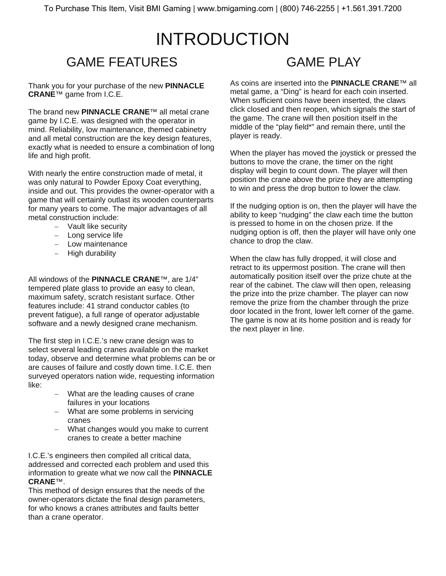### INTRODUCTION GAME FEATURES **GAME PLAY**

Thank you for your purchase of the new **PINNACLE CRANE**™ game from I.C.E.

The brand new **PINNACLE CRANE**™ all metal crane game by I.C.E. was designed with the operator in mind. Reliability, low maintenance, themed cabinetry and all metal construction are the key design features, exactly what is needed to ensure a combination of long life and high profit.

With nearly the entire construction made of metal, it was only natural to Powder Epoxy Coat everything, inside and out. This provides the owner-operator with a game that will certainly outlast its wooden counterparts for many years to come. The major advantages of all metal construction include:

- − Vault like security
- − Long service life
- − Low maintenance
- − High durability

All windows of the **PINNACLE CRANE**™, are 1/4" tempered plate glass to provide an easy to clean, maximum safety, scratch resistant surface. Other features include: 41 strand conductor cables (to prevent fatigue), a full range of operator adjustable software and a newly designed crane mechanism.

The first step in I.C.E.'s new crane design was to select several leading cranes available on the market today, observe and determine what problems can be or are causes of failure and costly down time. I.C.E. then surveyed operators nation wide, requesting information like:

- − What are the leading causes of crane failures in your locations
- − What are some problems in servicing cranes
- − What changes would you make to current cranes to create a better machine

I.C.E.'s engineers then compiled all critical data, addressed and corrected each problem and used this information to greate what we now call the **PINNACLE CRANE**™.

This method of design ensures that the needs of the owner-operators dictate the final design parameters, for who knows a cranes attributes and faults better than a crane operator.

As coins are inserted into the **PINNACLE CRANE**™ all metal game, a "Ding" is heard for each coin inserted. When sufficient coins have been inserted, the claws click closed and then reopen, which signals the start of the game. The crane will then position itself in the middle of the "play field\*" and remain there, until the player is ready.

When the player has moved the joystick or pressed the buttons to move the crane, the timer on the right display will begin to count down. The player will then position the crane above the prize they are attempting to win and press the drop button to lower the claw.

If the nudging option is on, then the player will have the ability to keep "nudging" the claw each time the button is pressed to home in on the chosen prize. If the nudging option is off, then the player will have only one chance to drop the claw.

When the claw has fully dropped, it will close and retract to its uppermost position. The crane will then automatically position itself over the prize chute at the rear of the cabinet. The claw will then open, releasing the prize into the prize chamber. The player can now remove the prize from the chamber through the prize door located in the front, lower left corner of the game. The game is now at its home position and is ready for the next player in line.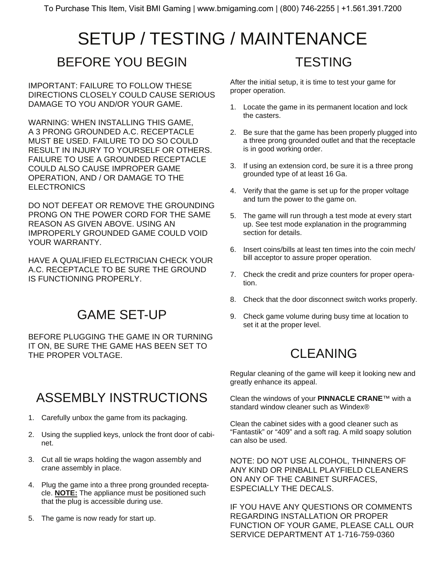### SETUP / TESTING / MAINTENANCE BEFORE YOU BEGIN **TESTING**

IMPORTANT: FAILURE TO FOLLOW THESE DIRECTIONS CLOSELY COULD CAUSE SERIOUS DAMAGE TO YOU AND/OR YOUR GAME.

WARNING: WHEN INSTALLING THIS GAME, A 3 PRONG GROUNDED A.C. RECEPTACLE MUST BE USED. FAILURE TO DO SO COULD RESULT IN INJURY TO YOURSELF OR OTHERS. FAILURE TO USE A GROUNDED RECEPTACLE COULD ALSO CAUSE IMPROPER GAME OPERATION, AND / OR DAMAGE TO THE **ELECTRONICS** 

DO NOT DEFEAT OR REMOVE THE GROUNDING PRONG ON THE POWER CORD FOR THE SAME REASON AS GIVEN ABOVE. USING AN IMPROPERLY GROUNDED GAME COULD VOID YOUR WARRANTY.

HAVE A QUALIFIED ELECTRICIAN CHECK YOUR A.C. RECEPTACLE TO BE SURE THE GROUND IS FUNCTIONING PROPERLY.

## GAME SET-UP

BEFORE PLUGGING THE GAME IN OR TURNING IT ON, BE SURE THE GAME HAS BEEN SET TO THE PROPER VOLTAGE.

## ASSEMBLY INSTRUCTIONS

- 1. Carefully unbox the game from its packaging.
- 2. Using the supplied keys, unlock the front door of cabinet.
- 3. Cut all tie wraps holding the wagon assembly and crane assembly in place.
- 4. Plug the game into a three prong grounded receptacle. **NOTE:** The appliance must be positioned such that the plug is accessible during use.
- 5. The game is now ready for start up.

After the initial setup, it is time to test your game for proper operation.

- 1. Locate the game in its permanent location and lock the casters.
- 2. Be sure that the game has been properly plugged into a three prong grounded outlet and that the receptacle is in good working order.
- 3. If using an extension cord, be sure it is a three prong grounded type of at least 16 Ga.
- 4. Verify that the game is set up for the proper voltage and turn the power to the game on.
- 5. The game will run through a test mode at every start up. See test mode explanation in the programming section for details.
- 6. Insert coins/bills at least ten times into the coin mech/ bill acceptor to assure proper operation.
- 7. Check the credit and prize counters for proper operation.
- 8. Check that the door disconnect switch works properly.
- 9. Check game volume during busy time at location to set it at the proper level.

## CLEANING

Regular cleaning of the game will keep it looking new and greatly enhance its appeal.

Clean the windows of your **PINNACLE CRANE**™ with a standard window cleaner such as Windex®

Clean the cabinet sides with a good cleaner such as "Fantastik" or "409" and a soft rag. A mild soapy solution can also be used.

NOTE: DO NOT USE ALCOHOL, THINNERS OF ANY KIND OR PINBALL PLAYFIELD CLEANERS ON ANY OF THE CABINET SURFACES, ESPECIALLY THE DECALS.

IF YOU HAVE ANY QUESTIONS OR COMMENTS REGARDING INSTALLATION OR PROPER FUNCTION OF YOUR GAME, PLEASE CALL OUR SERVICE DEPARTMENT AT 1-716-759-0360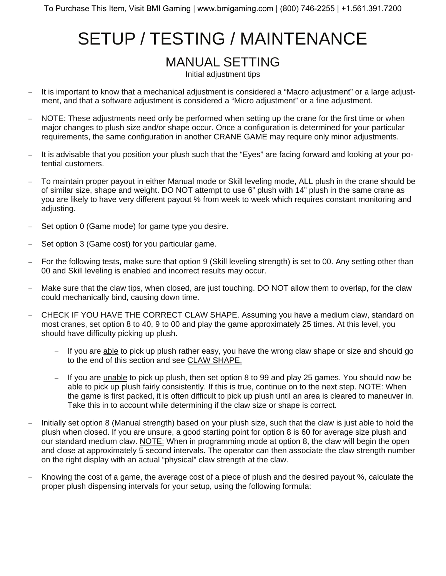### MANUAL SETTING

Initial adjustment tips

- − It is important to know that a mechanical adjustment is considered a "Macro adjustment" or a large adjustment, and that a software adjustment is considered a "Micro adjustment" or a fine adjustment.
- NOTE: These adjustments need only be performed when setting up the crane for the first time or when major changes to plush size and/or shape occur. Once a configuration is determined for your particular requirements, the same configuration in another CRANE GAME may require only minor adjustments.
- − It is advisable that you position your plush such that the "Eyes" are facing forward and looking at your potential customers.
- To maintain proper payout in either Manual mode or Skill leveling mode, ALL plush in the crane should be of similar size, shape and weight. DO NOT attempt to use 6" plush with 14" plush in the same crane as you are likely to have very different payout % from week to week which requires constant monitoring and adjusting.
- Set option 0 (Game mode) for game type you desire.
- Set option 3 (Game cost) for you particular game.
- − For the following tests, make sure that option 9 (Skill leveling strength) is set to 00. Any setting other than 00 and Skill leveling is enabled and incorrect results may occur.
- Make sure that the claw tips, when closed, are just touching. DO NOT allow them to overlap, for the claw could mechanically bind, causing down time.
- CHECK IF YOU HAVE THE CORRECT CLAW SHAPE. Assuming you have a medium claw, standard on most cranes, set option 8 to 40, 9 to 00 and play the game approximately 25 times. At this level, you should have difficulty picking up plush.
	- If you are able to pick up plush rather easy, you have the wrong claw shape or size and should go to the end of this section and see CLAW SHAPE.
	- − If you are unable to pick up plush, then set option 8 to 99 and play 25 games. You should now be able to pick up plush fairly consistently. If this is true, continue on to the next step. NOTE: When the game is first packed, it is often difficult to pick up plush until an area is cleared to maneuver in. Take this in to account while determining if the claw size or shape is correct.
- − Initially set option 8 (Manual strength) based on your plush size, such that the claw is just able to hold the plush when closed. If you are unsure, a good starting point for option 8 is 60 for average size plush and our standard medium claw. NOTE: When in programming mode at option 8, the claw will begin the open and close at approximately 5 second intervals. The operator can then associate the claw strength number on the right display with an actual "physical" claw strength at the claw.
- Knowing the cost of a game, the average cost of a piece of plush and the desired payout %, calculate the proper plush dispensing intervals for your setup, using the following formula: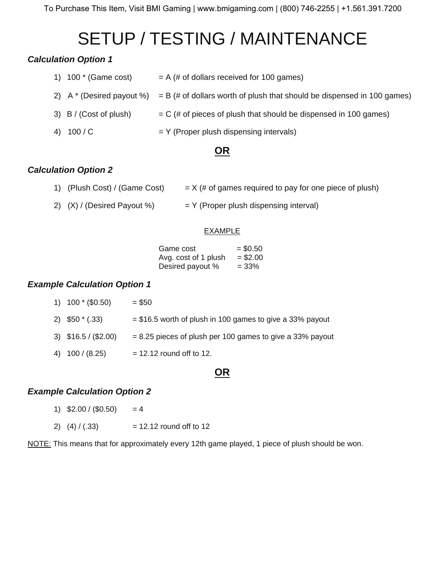#### *Calculation Option 1*

| 1) $100 * (Game cost)$ | $= A$ (# of dollars received for 100 games)                                                         |
|------------------------|-----------------------------------------------------------------------------------------------------|
|                        | 2) A $*$ (Desired payout %) = B (# of dollars worth of plush that should be dispensed in 100 games) |
| 3) B / (Cost of plush) | $=$ C (# of pieces of plush that should be dispensed in 100 games)                                  |
| 4) $100/C$             | $=$ Y (Proper plush dispensing intervals)                                                           |

### **OR**

### *Calculation Option 2*

| 1) (Plush Cost) / (Game Cost) | $=$ X (# of games required to pay for one piece of plush) |
|-------------------------------|-----------------------------------------------------------|
|                               |                                                           |

2)  $(X) / (Desired Payout %) = Y (Proper plus his pensing interval)$ 

#### **EXAMPLE**

| Game cost            | $=$ \$0.50 |
|----------------------|------------|
| Avg. cost of 1 plush | $= $2.00$  |
| Desired payout %     | $= 33\%$   |

#### *Example Calculation Option 1*

| 1) $100*(0.50)$      | $= $50$                                                     |
|----------------------|-------------------------------------------------------------|
| 2) $$50*(.33)$       | $= $16.5$ worth of plush in 100 games to give a 33% payout  |
| 3) $$16.5 / ($2.00)$ | $= 8.25$ pieces of plush per 100 games to give a 33% payout |
| 4) $100 / (8.25)$    | $= 12.12$ round off to 12.                                  |

### **OR**

#### *Example Calculation Option 2*

- 1)  $$2.00 / ($0.50) = 4$
- 2)  $(4) / (.33)$  = 12.12 round off to 12

NOTE: This means that for approximately every 12th game played, 1 piece of plush should be won.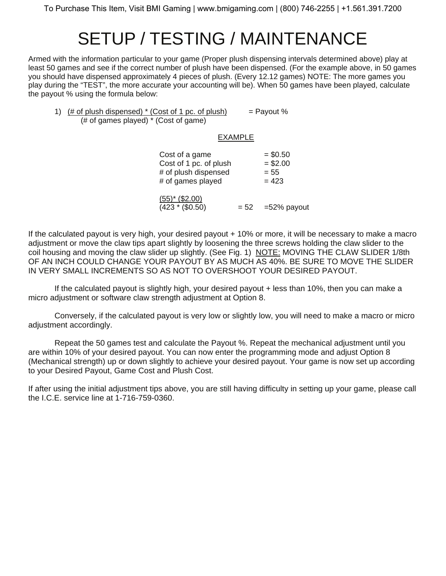Armed with the information particular to your game (Proper plush dispensing intervals determined above) play at least 50 games and see if the correct number of plush have been dispensed. (For the example above, in 50 games you should have dispensed approximately 4 pieces of plush. (Every 12.12 games) NOTE: The more games you play during the "TEST", the more accurate your accounting will be). When 50 games have been played, calculate the payout % using the formula below:

1)  $(\# \text{ of plush dispensed})^*$  (Cost of 1 pc. of plush) = Payout % (# of games played) \* (Cost of game)

#### EXAMPLE

 $(423 * ($0.50)$  = 52 = 52% payout

| Cost of a game         | $= $0.50$ |
|------------------------|-----------|
| Cost of 1 pc. of plush | $= $2.00$ |
| # of plush dispensed   | $= 55$    |
| # of games played      | $= 423$   |
| $(55)^*$ (\$2.00)      |           |

If the calculated payout is very high, your desired payout + 10% or more, it will be necessary to make a macro adjustment or move the claw tips apart slightly by loosening the three screws holding the claw slider to the coil housing and moving the claw slider up slightly. (See Fig. 1) NOTE: MOVING THE CLAW SLIDER 1/8th OF AN INCH COULD CHANGE YOUR PAYOUT BY AS MUCH AS 40%. BE SURE TO MOVE THE SLIDER IN VERY SMALL INCREMENTS SO AS NOT TO OVERSHOOT YOUR DESIRED PAYOUT.

 If the calculated payout is slightly high, your desired payout + less than 10%, then you can make a micro adjustment or software claw strength adjustment at Option 8.

 Conversely, if the calculated payout is very low or slightly low, you will need to make a macro or micro adjustment accordingly.

 Repeat the 50 games test and calculate the Payout %. Repeat the mechanical adjustment until you are within 10% of your desired payout. You can now enter the programming mode and adjust Option 8 (Mechanical strength) up or down slightly to achieve your desired payout. Your game is now set up according to your Desired Payout, Game Cost and Plush Cost.

If after using the initial adjustment tips above, you are still having difficulty in setting up your game, please call the I.C.E. service line at 1-716-759-0360.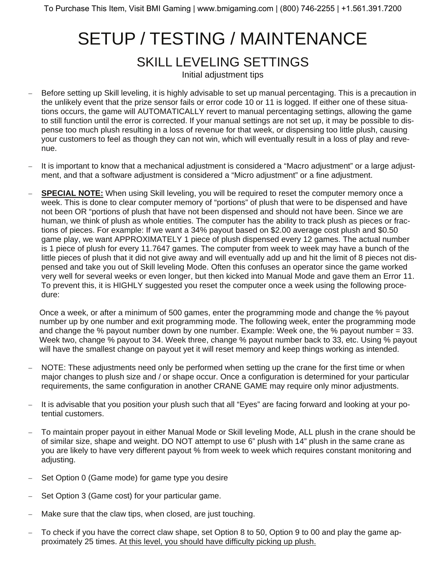## SETUP / TESTING / MAINTENANCE SKILL LEVELING SETTINGS Initial adjustment tips

- Before setting up Skill leveling, it is highly advisable to set up manual percentaging. This is a precaution in the unlikely event that the prize sensor fails or error code 10 or 11 is logged. If either one of these situations occurs, the game will AUTOMATICALLY revert to manual percentaging settings, allowing the game to still function until the error is corrected. If your manual settings are not set up, it may be possible to dispense too much plush resulting in a loss of revenue for that week, or dispensing too little plush, causing your customers to feel as though they can not win, which will eventually result in a loss of play and revenue.
- − It is important to know that a mechanical adjustment is considered a "Macro adjustment" or a large adjustment, and that a software adjustment is considered a "Micro adjustment" or a fine adjustment.
- **SPECIAL NOTE:** When using Skill leveling, you will be required to reset the computer memory once a week. This is done to clear computer memory of "portions" of plush that were to be dispensed and have not been OR "portions of plush that have not been dispensed and should not have been. Since we are human, we think of plush as whole entities. The computer has the ability to track plush as pieces or fractions of pieces. For example: If we want a 34% payout based on \$2.00 average cost plush and \$0.50 game play, we want APPROXIMATELY 1 piece of plush dispensed every 12 games. The actual number is 1 piece of plush for every 11.7647 games. The computer from week to week may have a bunch of the little pieces of plush that it did not give away and will eventually add up and hit the limit of 8 pieces not dispensed and take you out of Skill leveling Mode. Often this confuses an operator since the game worked very well for several weeks or even longer, but then kicked into Manual Mode and gave them an Error 11. To prevent this, it is HIGHLY suggested you reset the computer once a week using the following procedure:

 Once a week, or after a minimum of 500 games, enter the programming mode and change the % payout number up by one number and exit programming mode. The following week, enter the programming mode and change the % payout number down by one number. Example: Week one, the % payout number = 33. Week two, change % payout to 34. Week three, change % payout number back to 33, etc. Using % payout will have the smallest change on payout yet it will reset memory and keep things working as intended.

- NOTE: These adjustments need only be performed when setting up the crane for the first time or when major changes to plush size and / or shape occur. Once a configuration is determined for your particular requirements, the same configuration in another CRANE GAME may require only minor adjustments.
- − It is advisable that you position your plush such that all "Eyes" are facing forward and looking at your potential customers.
- To maintain proper payout in either Manual Mode or Skill leveling Mode, ALL plush in the crane should be of similar size, shape and weight. DO NOT attempt to use 6" plush with 14" plush in the same crane as you are likely to have very different payout % from week to week which requires constant monitoring and adjusting.
- Set Option 0 (Game mode) for game type you desire
- Set Option 3 (Game cost) for your particular game.
- Make sure that the claw tips, when closed, are just touching.
- To check if you have the correct claw shape, set Option 8 to 50, Option 9 to 00 and play the game approximately 25 times. At this level, you should have difficulty picking up plush.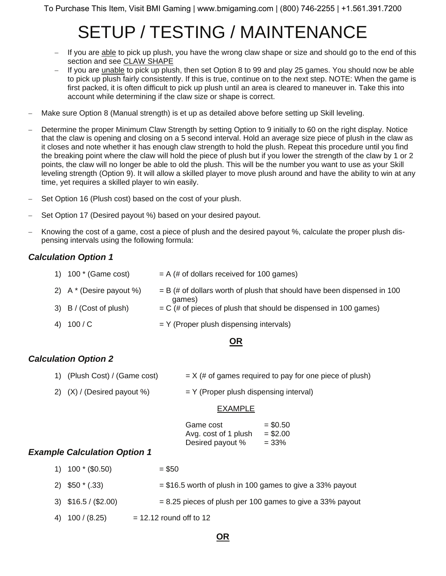- − If you are able to pick up plush, you have the wrong claw shape or size and should go to the end of this section and see CLAW SHAPE
- − If you are unable to pick up plush, then set Option 8 to 99 and play 25 games. You should now be able to pick up plush fairly consistently. If this is true, continue on to the next step. NOTE: When the game is first packed, it is often difficult to pick up plush until an area is cleared to maneuver in. Take this into account while determining if the claw size or shape is correct.
- − Make sure Option 8 (Manual strength) is et up as detailed above before setting up Skill leveling.
- Determine the proper Minimum Claw Strength by setting Option to 9 initially to 60 on the right display. Notice that the claw is opening and closing on a 5 second interval. Hold an average size piece of plush in the claw as it closes and note whether it has enough claw strength to hold the plush. Repeat this procedure until you find the breaking point where the claw will hold the piece of plush but if you lower the strength of the claw by 1 or 2 points, the claw will no longer be able to old the plush. This will be the number you want to use as your Skill leveling strength (Option 9). It will allow a skilled player to move plush around and have the ability to win at any time, yet requires a skilled player to win easily.
- Set Option 16 (Plush cost) based on the cost of your plush.
- Set Option 17 (Desired payout %) based on your desired payout.
- − Knowing the cost of a game, cost a piece of plush and the desired payout %, calculate the proper plush dispensing intervals using the following formula:

#### *Calculation Option 1*

| 1) $100*(Game cost)$       | $= A$ (# of dollars received for 100 games)                                         |
|----------------------------|-------------------------------------------------------------------------------------|
| 2) $A^*$ (Desire payout %) | $=$ B (# of dollars worth of plush that should have been dispensed in 100<br>games) |
| 3) B / (Cost of plush)     | $=$ C (# of pieces of plush that should be dispensed in 100 games)                  |
| 4) 100 / C                 | $=$ Y (Proper plush dispensing intervals)                                           |

#### **OR**

#### *Calculation Option 2*

- 1) (Plush Cost) / (Game cost)  $= X$  (# of games required to pay for one piece of plush)
- 2)  $(X) / (Desired payoff) = Y (Proper plus his prensing interval)$

#### EXAMPLE

| Game cost            | $=$ \$0.50 |
|----------------------|------------|
| Avg. cost of 1 plush | $= $2.00$  |
| Desired payout %     | $= 33\%$   |

#### *Example Calculation Option 1*

- 1)  $100 * (0.50) = $50$
- 2)  $$50$   $*$  (.33)  $= $16.5$  worth of plush in 100 games to give a 33% payout
- 3)  $$16.5 / ($2.00)$  = 8.25 pieces of plush per 100 games to give a 33% payout
- 4)  $100 / (8.25)$  = 12.12 round off to 12

#### **OR**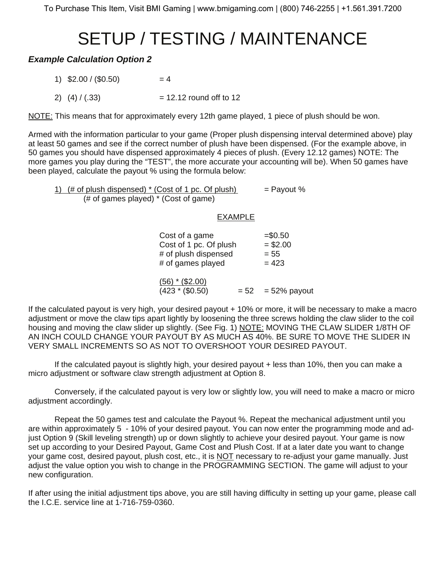#### *Example Calculation Option 2*

- 1)  $$2.00 / ($0.50) = 4$
- 2)  $(4) / (.33)$  = 12.12 round off to 12

NOTE: This means that for approximately every 12th game played, 1 piece of plush should be won.

Armed with the information particular to your game (Proper plush dispensing interval determined above) play at least 50 games and see if the correct number of plush have been dispensed. (For the example above, in 50 games you should have dispensed approximately 4 pieces of plush. (Every 12.12 games) NOTE: The more games you play during the "TEST", the more accurate your accounting will be). When 50 games have been played, calculate the payout % using the formula below:

1)  $(\# \text{ of plush dispensed}) * (Cost of 1 pc. Of plush) = Payout %$ (# of games played) \* (Cost of game)

#### EXAMPLE

| Cost of a game<br>Cost of 1 pc. Of plush<br># of plush dispensed<br># of games played | $= $0.50$<br>$= $2.00$<br>$= 55$<br>$= 423$ |
|---------------------------------------------------------------------------------------|---------------------------------------------|
| (56) * (\$2.00)<br>$(423 * ($0.50)$                                                   | $= 52$ = 52% payout                         |

If the calculated payout is very high, your desired payout + 10% or more, it will be necessary to make a macro adjustment or move the claw tips apart lightly by loosening the three screws holding the claw slider to the coil housing and moving the claw slider up slightly. (See Fig. 1) NOTE: MOVING THE CLAW SLIDER 1/8TH OF AN INCH COULD CHANGE YOUR PAYOUT BY AS MUCH AS 40%. BE SURE TO MOVE THE SLIDER IN VERY SMALL INCREMENTS SO AS NOT TO OVERSHOOT YOUR DESIRED PAYOUT.

 If the calculated payout is slightly high, your desired payout + less than 10%, then you can make a micro adjustment or software claw strength adjustment at Option 8.

 Conversely, if the calculated payout is very low or slightly low, you will need to make a macro or micro adjustment accordingly.

 Repeat the 50 games test and calculate the Payout %. Repeat the mechanical adjustment until you are within approximately 5 - 10% of your desired payout. You can now enter the programming mode and adjust Option 9 (Skill leveling strength) up or down slightly to achieve your desired payout. Your game is now set up according to your Desired Payout, Game Cost and Plush Cost. If at a later date you want to change your game cost, desired payout, plush cost, etc., it is NOT necessary to re-adjust your game manually. Just adjust the value option you wish to change in the PROGRAMMING SECTION. The game will adjust to your new configuration.

If after using the initial adjustment tips above, you are still having difficulty in setting up your game, please call the I.C.E. service line at 1-716-759-0360.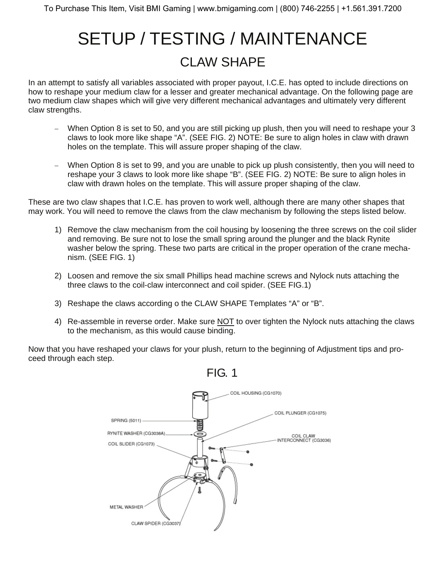# SETUP / TESTING / MAINTENANCE CLAW SHAPE

In an attempt to satisfy all variables associated with proper payout, I.C.E. has opted to include directions on how to reshape your medium claw for a lesser and greater mechanical advantage. On the following page are two medium claw shapes which will give very different mechanical advantages and ultimately very different claw strengths.

- When Option 8 is set to 50, and you are still picking up plush, then you will need to reshape your 3 claws to look more like shape "A". (SEE FIG. 2) NOTE: Be sure to align holes in claw with drawn holes on the template. This will assure proper shaping of the claw.
- − When Option 8 is set to 99, and you are unable to pick up plush consistently, then you will need to reshape your 3 claws to look more like shape "B". (SEE FIG. 2) NOTE: Be sure to align holes in claw with drawn holes on the template. This will assure proper shaping of the claw.

These are two claw shapes that I.C.E. has proven to work well, although there are many other shapes that may work. You will need to remove the claws from the claw mechanism by following the steps listed below.

- 1) Remove the claw mechanism from the coil housing by loosening the three screws on the coil slider and removing. Be sure not to lose the small spring around the plunger and the black Rynite washer below the spring. These two parts are critical in the proper operation of the crane mechanism. (SEE FIG. 1)
- 2) Loosen and remove the six small Phillips head machine screws and Nylock nuts attaching the three claws to the coil-claw interconnect and coil spider. (SEE FIG.1)
- 3) Reshape the claws according o the CLAW SHAPE Templates "A" or "B".
- 4) Re-assemble in reverse order. Make sure NOT to over tighten the Nylock nuts attaching the claws to the mechanism, as this would cause binding.

Now that you have reshaped your claws for your plush, return to the beginning of Adjustment tips and proceed through each step.

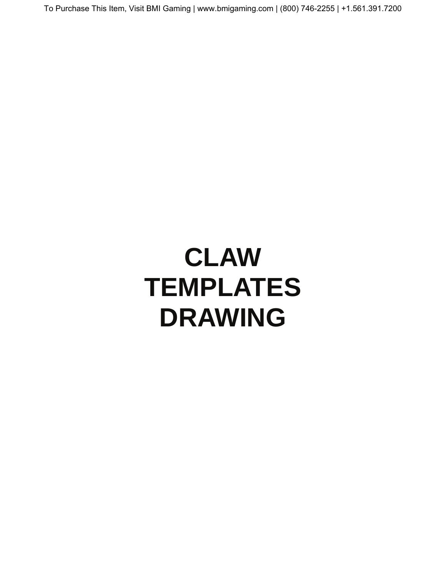# **CLAW TEMPLATES DRAWING**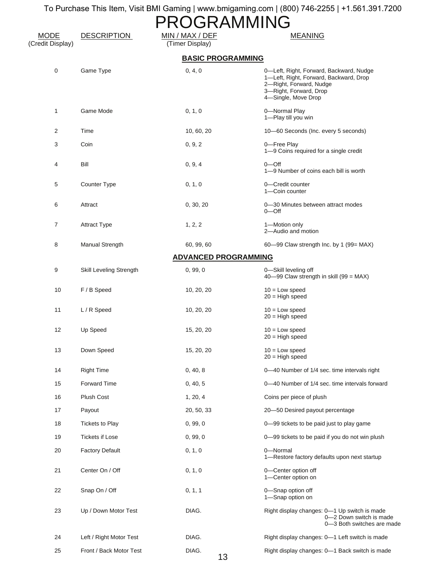| ROGRAMMING                      |                         |                                    |                                                                                                                                                               |
|---------------------------------|-------------------------|------------------------------------|---------------------------------------------------------------------------------------------------------------------------------------------------------------|
| <b>MODE</b><br>(Credit Display) | <b>DESCRIPTION</b>      | MIN / MAX / DEF<br>(Timer Display) | <b>MEANING</b>                                                                                                                                                |
|                                 |                         | <b>BASIC PROGRAMMING</b>           |                                                                                                                                                               |
| $\pmb{0}$                       | Game Type               | 0, 4, 0                            | 0-Left, Right, Forward, Backward, Nudge<br>1-Left, Right, Forward, Backward, Drop<br>2-Right, Forward, Nudge<br>3-Right, Forward, Drop<br>4-Single, Move Drop |
| 1                               | Game Mode               | 0, 1, 0                            | 0-Normal Play<br>1-Play till you win                                                                                                                          |
| 2                               | Time                    | 10, 60, 20                         | 10-60 Seconds (Inc. every 5 seconds)                                                                                                                          |
| 3                               | Coin                    | 0, 9, 2                            | 0-Free Play<br>1-9 Coins required for a single credit                                                                                                         |
| 4                               | Bill                    | 0, 9, 4                            | $0$ — $O$ ff<br>1-9 Number of coins each bill is worth                                                                                                        |
| 5                               | Counter Type            | 0, 1, 0                            | 0-Credit counter<br>1-Coin counter                                                                                                                            |
| 6                               | Attract                 | 0, 30, 20                          | 0-30 Minutes between attract modes<br>$0$ — $O$ ff                                                                                                            |
| 7                               | <b>Attract Type</b>     | 1, 2, 2                            | 1-Motion only<br>2-Audio and motion                                                                                                                           |
| 8                               | Manual Strength         | 60, 99, 60                         | 60-99 Claw strength Inc. by 1 (99= MAX)                                                                                                                       |
|                                 |                         | <b>ADVANCED PROGRAMMING</b>        |                                                                                                                                                               |
| 9                               | Skill Leveling Strength | 0, 99, 0                           | 0-Skill leveling off<br>40-99 Claw strength in skill (99 = MAX)                                                                                               |
| 10                              | F / B Speed             | 10, 20, 20                         | $10 =$ Low speed<br>$20 = High speed$                                                                                                                         |
| 11                              | L/R Speed               | 10, 20, 20                         | $10 =$ Low speed<br>$20 =$ High speed                                                                                                                         |
| 12                              | Up Speed                | 15, 20, 20                         | $10 =$ Low speed<br>$20 =$ High speed                                                                                                                         |
| 13                              | Down Speed              | 15, 20, 20                         | $10 =$ Low speed<br>$20 = High speed$                                                                                                                         |
| 14                              | <b>Right Time</b>       | 0, 40, 8                           | 0-40 Number of 1/4 sec. time intervals right                                                                                                                  |
| 15                              | Forward Time            | 0, 40, 5                           | 0-40 Number of 1/4 sec. time intervals forward                                                                                                                |
| 16                              | Plush Cost              | 1, 20, 4                           | Coins per piece of plush                                                                                                                                      |
| 17                              | Payout                  | 20, 50, 33                         | 20-50 Desired payout percentage                                                                                                                               |
| 18                              | <b>Tickets to Play</b>  | 0, 99, 0                           | 0-99 tickets to be paid just to play game                                                                                                                     |
| 19                              | <b>Tickets if Lose</b>  | 0, 99, 0                           | 0-99 tickets to be paid if you do not win plush                                                                                                               |
| 20                              | <b>Factory Default</b>  | 0, 1, 0                            | 0-Normal<br>1-Restore factory defaults upon next startup                                                                                                      |
| 21                              | Center On / Off         | 0, 1, 0                            | 0-Center option off<br>1-Center option on                                                                                                                     |
| 22                              | Snap On / Off           | 0, 1, 1                            | 0-Snap option off<br>1-Snap option on                                                                                                                         |
| 23                              | Up / Down Motor Test    | DIAG.                              | Right display changes: 0-1 Up switch is made<br>0-2 Down switch is made<br>0-3 Both switches are made                                                         |
| 24                              | Left / Right Motor Test | DIAG.                              | Right display changes: 0-1 Left switch is made                                                                                                                |
| 25                              | Front / Back Motor Test | DIAG.<br>13                        | Right display changes: 0-1 Back switch is made                                                                                                                |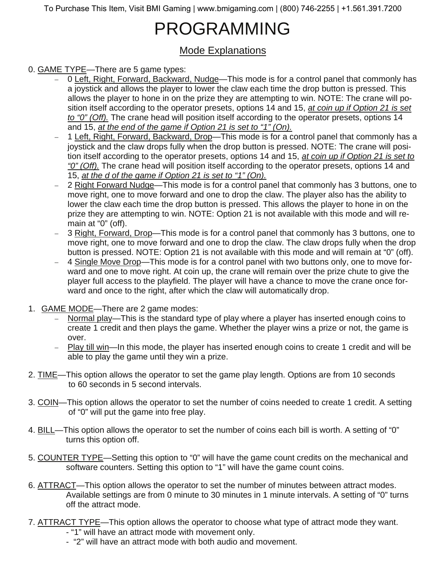# PROGRAMMING

### Mode Explanations

#### 0. GAME TYPE—There are 5 game types:

- − 0 Left, Right, Forward, Backward, Nudge—This mode is for a control panel that commonly has a joystick and allows the player to lower the claw each time the drop button is pressed. This allows the player to hone in on the prize they are attempting to win. NOTE: The crane will position itself according to the operator presets, options 14 and 15, *at coin up if Option 21 is set to "0" (Off).* The crane head will position itself according to the operator presets, options 14 and 15, *at the end of the game if Option 21 is set to "1" (On).*
- − 1 Left, Right, Forward, Backward, Drop—This mode is for a control panel that commonly has a joystick and the claw drops fully when the drop button is pressed. NOTE: The crane will position itself according to the operator presets, options 14 and 15, *at coin up if Option 21 is set to "0" (Off).* The crane head will position itself according to the operator presets, options 14 and 15, *at the d of the game if Option 21 is set to "1" (On).*
- − 2 Right Forward Nudge—This mode is for a control panel that commonly has 3 buttons, one to move right, one to move forward and one to drop the claw. The player also has the ability to lower the claw each time the drop button is pressed. This allows the player to hone in on the prize they are attempting to win. NOTE: Option 21 is not available with this mode and will remain at "0" (off).
- − 3 Right, Forward, Drop—This mode is for a control panel that commonly has 3 buttons, one to move right, one to move forward and one to drop the claw. The claw drops fully when the drop button is pressed. NOTE: Option 21 is not available with this mode and will remain at "0" (off).
- − 4 Single Move Drop—This mode is for a control panel with two buttons only, one to move forward and one to move right. At coin up, the crane will remain over the prize chute to give the player full access to the playfield. The player will have a chance to move the crane once forward and once to the right, after which the claw will automatically drop.
- 1. GAME MODE—There are 2 game modes:
	- Normal play—This is the standard type of play where a player has inserted enough coins to create 1 credit and then plays the game. Whether the player wins a prize or not, the game is over.
	- Play till win—In this mode, the player has inserted enough coins to create 1 credit and will be able to play the game until they win a prize.
- 2. TIME—This option allows the operator to set the game play length. Options are from 10 seconds to 60 seconds in 5 second intervals.
- 3. COIN—This option allows the operator to set the number of coins needed to create 1 credit. A setting of "0" will put the game into free play.
- 4. BILL—This option allows the operator to set the number of coins each bill is worth. A setting of "0" turns this option off.
- 5. COUNTER TYPE—Setting this option to "0" will have the game count credits on the mechanical and software counters. Setting this option to "1" will have the game count coins.
- 6. ATTRACT—This option allows the operator to set the number of minutes between attract modes. Available settings are from 0 minute to 30 minutes in 1 minute intervals. A setting of "0" turns off the attract mode.
- 7. ATTRACT TYPE—This option allows the operator to choose what type of attract mode they want.
	- "1" will have an attract mode with movement only.
	- "2" will have an attract mode with both audio and movement.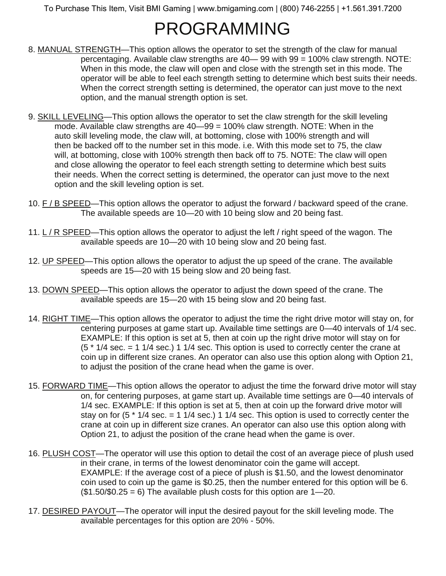# PROGRAMMING

- 8. MANUAL STRENGTH-This option allows the operator to set the strength of the claw for manual percentaging. Available claw strengths are 40— 99 with 99 = 100% claw strength. NOTE: When in this mode, the claw will open and close with the strength set in this mode. The operator will be able to feel each strength setting to determine which best suits their needs. When the correct strength setting is determined, the operator can just move to the next option, and the manual strength option is set.
- 9. SKILL LEVELING—This option allows the operator to set the claw strength for the skill leveling mode. Available claw strengths are 40—99 = 100% claw strength. NOTE: When in the auto skill leveling mode, the claw will, at bottoming, close with 100% strength and will then be backed off to the number set in this mode. i.e. With this mode set to 75, the claw will, at bottoming, close with 100% strength then back off to 75. NOTE: The claw will open and close allowing the operator to feel each strength setting to determine which best suits their needs. When the correct setting is determined, the operator can just move to the next option and the skill leveling option is set.
- 10. F / B SPEED—This option allows the operator to adjust the forward / backward speed of the crane. The available speeds are 10—20 with 10 being slow and 20 being fast.
- 11. L / R SPEED—This option allows the operator to adjust the left / right speed of the wagon. The available speeds are 10—20 with 10 being slow and 20 being fast.
- 12. UP SPEED—This option allows the operator to adjust the up speed of the crane. The available speeds are 15—20 with 15 being slow and 20 being fast.
- 13. DOWN SPEED—This option allows the operator to adjust the down speed of the crane. The available speeds are 15—20 with 15 being slow and 20 being fast.
- 14. RIGHT TIME—This option allows the operator to adjust the time the right drive motor will stay on, for centering purposes at game start up. Available time settings are 0—40 intervals of 1/4 sec. EXAMPLE: If this option is set at 5, then at coin up the right drive motor will stay on for  $(5 * 1/4 \text{ sec.} = 1 \frac{1}{4} \text{ sec.})$  1 1/4 sec. This option is used to correctly center the crane at coin up in different size cranes. An operator can also use this option along with Option 21, to adjust the position of the crane head when the game is over.
- 15. FORWARD TIME—This option allows the operator to adjust the time the forward drive motor will stay on, for centering purposes, at game start up. Available time settings are 0—40 intervals of 1/4 sec. EXAMPLE: If this option is set at 5, then at coin up the forward drive motor will stay on for  $(5 * 1/4 \text{ sec.} = 1 \frac{1}{4} \text{ sec.})$  1 1/4 sec. This option is used to correctly center the crane at coin up in different size cranes. An operator can also use this option along with Option 21, to adjust the position of the crane head when the game is over.
- 16. PLUSH COST—The operator will use this option to detail the cost of an average piece of plush used in their crane, in terms of the lowest denominator coin the game will accept. EXAMPLE: If the average cost of a piece of plush is \$1.50, and the lowest denominator coin used to coin up the game is \$0.25, then the number entered for this option will be 6.  $($1.50$0.25 = 6)$  The available plush costs for this option are  $1 - 20$ .
- 17. DESIRED PAYOUT—The operator will input the desired payout for the skill leveling mode. The available percentages for this option are 20% - 50%.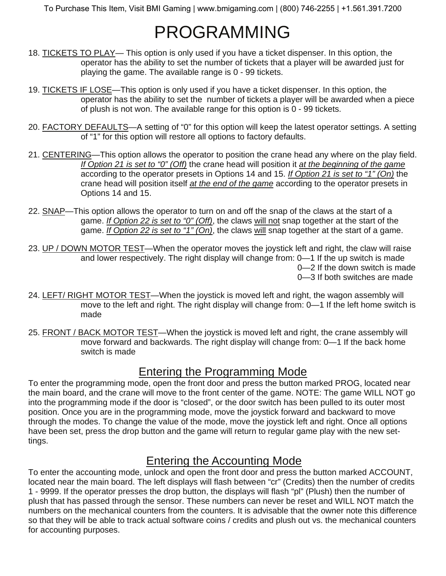# PROGRAMMING

- 18. TICKETS TO PLAY— This option is only used if you have a ticket dispenser. In this option, the operator has the ability to set the number of tickets that a player will be awarded just for playing the game. The available range is 0 - 99 tickets.
- 19. TICKETS IF LOSE—This option is only used if you have a ticket dispenser. In this option, the operator has the ability to set the number of tickets a player will be awarded when a piece of plush is not won. The available range for this option is 0 - 99 tickets.
- 20. FACTORY DEFAULTS—A setting of "0" for this option will keep the latest operator settings. A setting of "1" for this option will restore all options to factory defaults.
- 21. CENTERING—This option allows the operator to position the crane head any where on the play field. *If Option 21 is set to "0" (Off)* the crane head will position it *at the beginning of the game* according to the operator presets in Options 14 and 15. *If Option 21 is set to "1" (On)* the crane head will position itself *at the end of the game* according to the operator presets in Options 14 and 15.
- 22. SNAP—This option allows the operator to turn on and off the snap of the claws at the start of a game. *If Option 22 is set to "0" (Off)*, the claws will not snap together at the start of the game. *If Option 22 is set to "1" (On)*, the claws will snap together at the start of a game.
- 23. UP / DOWN MOTOR TEST—When the operator moves the joystick left and right, the claw will raise and lower respectively. The right display will change from: 0—1 If the up switch is made 0—2 If the down switch is made 0—3 If both switches are made
- 24. LEFT/ RIGHT MOTOR TEST—When the joystick is moved left and right, the wagon assembly will move to the left and right. The right display will change from: 0—1 If the left home switch is made
- 25. FRONT / BACK MOTOR TEST—When the joystick is moved left and right, the crane assembly will move forward and backwards. The right display will change from: 0—1 If the back home switch is made

### Entering the Programming Mode

To enter the programming mode, open the front door and press the button marked PROG, located near the main board, and the crane will move to the front center of the game. NOTE: The game WILL NOT go into the programming mode if the door is "closed", or the door switch has been pulled to its outer most position. Once you are in the programming mode, move the joystick forward and backward to move through the modes. To change the value of the mode, move the joystick left and right. Once all options have been set, press the drop button and the game will return to regular game play with the new settings.

### Entering the Accounting Mode

To enter the accounting mode, unlock and open the front door and press the button marked ACCOUNT, located near the main board. The left displays will flash between "cr" (Credits) then the number of credits 1 - 9999. If the operator presses the drop button, the displays will flash "pl" (Plush) then the number of plush that has passed through the sensor. These numbers can never be reset and WILL NOT match the numbers on the mechanical counters from the counters. It is advisable that the owner note this difference so that they will be able to track actual software coins / credits and plush out vs. the mechanical counters for accounting purposes.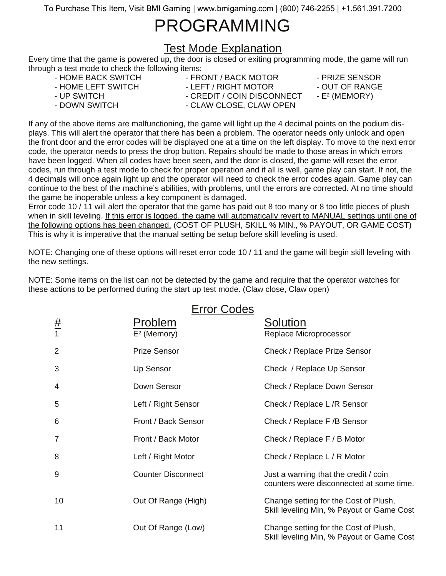## PROGRAMMING

### Test Mode Explanation

Every time that the game is powered up, the door is closed or exiting programming mode, the game will run through a test mode to check the following items:

- HOME BACK SWITCH FRONT / BACK MOTOR PRIZE SENSOR
- HOME LEFT SWITCH LEFT / RIGHT MOTOR OUT OF RANGE
- 
- 
- 
- 
- 
- UP SWITCH CREDIT / COIN DISCONNECT E<sup>2</sup> (MEMORY)
- DOWN SWITCH CLAW CLOSE, CLAW OPEN
- 
- 

If any of the above items are malfunctioning, the game will light up the 4 decimal points on the podium displays. This will alert the operator that there has been a problem. The operator needs only unlock and open the front door and the error codes will be displayed one at a time on the left display. To move to the next error code, the operator needs to press the drop button. Repairs should be made to those areas in which errors have been logged. When all codes have been seen, and the door is closed, the game will reset the error codes, run through a test mode to check for proper operation and if all is well, game play can start. If not, the 4 decimals will once again light up and the operator will need to check the error codes again. Game play can continue to the best of the machine's abilities, with problems, until the errors are corrected. At no time should the game be inoperable unless a key component is damaged.

Error code 10 / 11 will alert the operator that the game has paid out 8 too many or 8 too little pieces of plush when in skill leveling. If this error is logged, the game will automatically revert to MANUAL settings until one of the following options has been changed. (COST OF PLUSH, SKILL % MIN., % PAYOUT, OR GAME COST) This is why it is imperative that the manual setting be setup before skill leveling is used.

NOTE: Changing one of these options will reset error code 10 / 11 and the game will begin skill leveling with the new settings.

NOTE: Some items on the list can not be detected by the game and require that the operator watches for these actions to be performed during the start up test mode. (Claw close, Claw open)

| $\frac{\#}{1}$ | <b>Error Codes</b><br>Problem<br>$E2$ (Memory) | Solution<br>Replace Microprocessor                                                 |
|----------------|------------------------------------------------|------------------------------------------------------------------------------------|
| $\overline{2}$ | <b>Prize Sensor</b>                            | Check / Replace Prize Sensor                                                       |
| 3              | Up Sensor                                      | Check / Replace Up Sensor                                                          |
| 4              | Down Sensor                                    | Check / Replace Down Sensor                                                        |
| 5              | Left / Right Sensor                            | Check / Replace L /R Sensor                                                        |
| 6              | Front / Back Sensor                            | Check / Replace F /B Sensor                                                        |
| 7              | Front / Back Motor                             | Check / Replace F / B Motor                                                        |
| 8              | Left / Right Motor                             | Check / Replace L / R Motor                                                        |
| 9              | <b>Counter Disconnect</b>                      | Just a warning that the credit / coin<br>counters were disconnected at some time.  |
| 10             | Out Of Range (High)                            | Change setting for the Cost of Plush,<br>Skill leveling Min, % Payout or Game Cost |
| 11             | Out Of Range (Low)                             | Change setting for the Cost of Plush,<br>Skill leveling Min, % Payout or Game Cost |

### Error Codes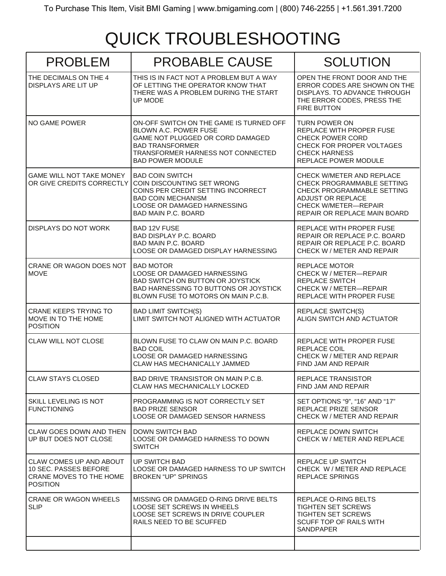# QUICK TROUBLESHOOTING

| <b>PROBLEM</b>                                                                          | <b>PROBABLE CAUSE</b>                                                                                                                                                                          | <b>SOLUTION</b>                                                                                                                                                           |
|-----------------------------------------------------------------------------------------|------------------------------------------------------------------------------------------------------------------------------------------------------------------------------------------------|---------------------------------------------------------------------------------------------------------------------------------------------------------------------------|
| THE DECIMALS ON THE 4<br>DISPLAYS ARE LIT UP                                            | THIS IS IN FACT NOT A PROBLEM BUT A WAY<br>OF LETTING THE OPERATOR KNOW THAT<br>THERE WAS A PROBLEM DURING THE START<br><b>UP MODE</b>                                                         | OPEN THE FRONT DOOR AND THE<br>ERROR CODES ARE SHOWN ON THE<br>DISPLAYS. TO ADVANCE THROUGH.<br>THE ERROR CODES, PRESS THE<br><b>FIRE BUTTON</b>                          |
| NO GAME POWER                                                                           | ON-OFF SWITCH ON THE GAME IS TURNED OFF<br>BLOWN A.C. POWER FUSE<br>GAME NOT PLUGGED OR CORD DAMAGED<br><b>BAD TRANSFORMER</b><br>TRANSFORMER HARNESS NOT CONNECTED<br><b>BAD POWER MODULE</b> | <b>TURN POWER ON</b><br>REPLACE WITH PROPER FUSE<br><b>CHECK POWER CORD</b><br>CHECK FOR PROPER VOLTAGES<br><b>CHECK HARNESS</b><br>REPLACE POWER MODULE                  |
| <b>GAME WILL NOT TAKE MONEY</b><br>OR GIVE CREDITS CORRECTLY                            | <b>BAD COIN SWITCH</b><br>COIN DISCOUNTING SET WRONG<br>COINS PER CREDIT SETTING INCORRECT<br><b>BAD COIN MECHANISM</b><br>LOOSE OR DAMAGED HARNESSING<br>BAD MAIN P.C. BOARD                  | CHECK W/METER AND REPLACE<br>CHECK PROGRAMMABLE SETTING<br>CHECK PROGRAMMABLE SETTING<br>ADJUST OR REPLACE<br><b>CHECK W/METER-REPAIR</b><br>REPAIR OR REPLACE MAIN BOARD |
| DISPLAYS DO NOT WORK                                                                    | <b>BAD 12V FUSE</b><br><b>BAD DISPLAY P.C. BOARD</b><br>BAD MAIN P.C. BOARD<br>LOOSE OR DAMAGED DISPLAY HARNESSING                                                                             | REPLACE WITH PROPER FUSE<br>REPAIR OR REPLACE P.C. BOARD<br>REPAIR OR REPLACE P.C. BOARD<br>CHECK W / METER AND REPAIR                                                    |
| CRANE OR WAGON DOES NOT<br><b>MOVE</b>                                                  | <b>BAD MOTOR</b><br>LOOSE OR DAMAGED HARNESSING<br>BAD SWITCH ON BUTTON OR JOYSTICK<br>BAD HARNESSING TO BUTTONS OR JOYSTICK<br>BLOWN FUSE TO MOTORS ON MAIN P.C.B.                            | <b>REPLACE MOTOR</b><br>CHECK W / METER-REPAIR<br><b>REPLACE SWITCH</b><br>CHECK W / METER-REPAIR<br>REPLACE WITH PROPER FUSE                                             |
| <b>CRANE KEEPS TRYING TO</b><br>MOVE IN TO THE HOME<br><b>POSITION</b>                  | <b>BAD LIMIT SWITCH(S)</b><br>LIMIT SWITCH NOT ALIGNED WITH ACTUATOR                                                                                                                           | <b>REPLACE SWITCH(S)</b><br>ALIGN SWITCH AND ACTUATOR                                                                                                                     |
| <b>CLAW WILL NOT CLOSE</b>                                                              | BLOWN FUSE TO CLAW ON MAIN P.C. BOARD<br><b>BAD COIL</b><br>LOOSE OR DAMAGED HARNESSING<br>CLAW HAS MECHANICALLY JAMMED                                                                        | REPLACE WITH PROPER FUSE<br><b>REPLACE COIL</b><br>CHECK W / METER AND REPAIR<br>FIND JAM AND REPAIR                                                                      |
| <b>CLAW STAYS CLOSED</b>                                                                | BAD DRIVE TRANSISTOR ON MAIN P.C.B.<br>CLAW HAS MECHANICALLY LOCKED                                                                                                                            | REPLACE TRANSISTOR<br>FIND JAM AND REPAIR                                                                                                                                 |
| SKILL LEVELING IS NOT<br><b>FUNCTIONING</b>                                             | PROGRAMMING IS NOT CORRECTLY SET<br><b>BAD PRIZE SENSOR</b><br>LOOSE OR DAMAGED SENSOR HARNESS                                                                                                 | SET OPTIONS "9", "16" AND "17"<br>REPLACE PRIZE SENSOR<br>CHECK W / METER AND REPAIR                                                                                      |
| CLAW GOES DOWN AND THEN<br>UP BUT DOES NOT CLOSE                                        | DOWN SWITCH BAD<br>LOOSE OR DAMAGED HARNESS TO DOWN<br><b>SWITCH</b>                                                                                                                           | REPLACE DOWN SWITCH<br>CHECK W / METER AND REPLACE                                                                                                                        |
| CLAW COMES UP AND ABOUT<br>10 SEC. PASSES BEFORE<br>CRANE MOVES TO THE HOME<br>POSITION | UP SWITCH BAD<br>LOOSE OR DAMAGED HARNESS TO UP SWITCH<br><b>BROKEN "UP" SPRINGS</b>                                                                                                           | REPLACE UP SWITCH<br>CHECK W / METER AND REPLACE<br><b>REPLACE SPRINGS</b>                                                                                                |
| <b>CRANE OR WAGON WHEELS</b><br><b>SLIP</b>                                             | MISSING OR DAMAGED O-RING DRIVE BELTS<br>LOOSE SET SCREWS IN WHEELS<br>LOOSE SET SCREWS IN DRIVE COUPLER<br>RAILS NEED TO BE SCUFFED                                                           | REPLACE O-RING BELTS<br><b>TIGHTEN SET SCREWS</b><br><b>TIGHTEN SET SCREWS</b><br>SCUFF TOP OF RAILS WITH<br><b>SANDPAPER</b>                                             |
|                                                                                         |                                                                                                                                                                                                |                                                                                                                                                                           |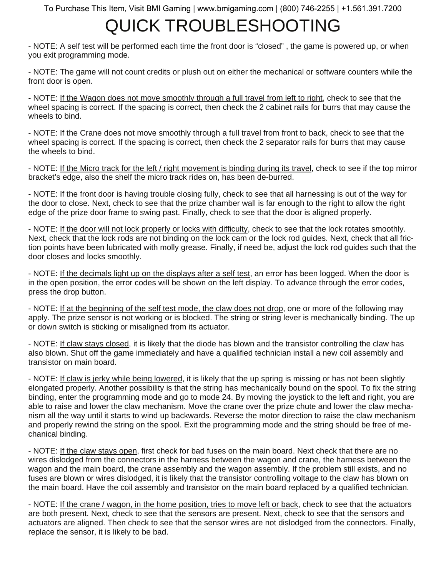# QUICK TROUBLESHOOTING

- NOTE: A self test will be performed each time the front door is "closed" , the game is powered up, or when you exit programming mode.

- NOTE: The game will not count credits or plush out on either the mechanical or software counters while the front door is open.

- NOTE: If the Wagon does not move smoothly through a full travel from left to right, check to see that the wheel spacing is correct. If the spacing is correct, then check the 2 cabinet rails for burrs that may cause the wheels to bind.

- NOTE: If the Crane does not move smoothly through a full travel from front to back, check to see that the wheel spacing is correct. If the spacing is correct, then check the 2 separator rails for burrs that may cause the wheels to bind.

- NOTE: If the Micro track for the left / right movement is binding during its travel, check to see if the top mirror bracket's edge, also the shelf the micro track rides on, has been de-burred.

- NOTE: If the front door is having trouble closing fully, check to see that all harnessing is out of the way for the door to close. Next, check to see that the prize chamber wall is far enough to the right to allow the right edge of the prize door frame to swing past. Finally, check to see that the door is aligned properly.

- NOTE: If the door will not lock properly or locks with difficulty, check to see that the lock rotates smoothly. Next, check that the lock rods are not binding on the lock cam or the lock rod guides. Next, check that all friction points have been lubricated with molly grease. Finally, if need be, adjust the lock rod guides such that the door closes and locks smoothly.

- NOTE: If the decimals light up on the displays after a self test, an error has been logged. When the door is in the open position, the error codes will be shown on the left display. To advance through the error codes, press the drop button.

- NOTE: If at the beginning of the self test mode, the claw does not drop, one or more of the following may apply. The prize sensor is not working or is blocked. The string or string lever is mechanically binding. The up or down switch is sticking or misaligned from its actuator.

- NOTE: If claw stays closed, it is likely that the diode has blown and the transistor controlling the claw has also blown. Shut off the game immediately and have a qualified technician install a new coil assembly and transistor on main board.

- NOTE: If claw is jerky while being lowered, it is likely that the up spring is missing or has not been slightly elongated properly. Another possibility is that the string has mechanically bound on the spool. To fix the string binding, enter the programming mode and go to mode 24. By moving the joystick to the left and right, you are able to raise and lower the claw mechanism. Move the crane over the prize chute and lower the claw mechanism all the way until it starts to wind up backwards. Reverse the motor direction to raise the claw mechanism and properly rewind the string on the spool. Exit the programming mode and the string should be free of mechanical binding.

- NOTE: If the claw stays open, first check for bad fuses on the main board. Next check that there are no wires dislodged from the connectors in the harness between the wagon and crane, the harness between the wagon and the main board, the crane assembly and the wagon assembly. If the problem still exists, and no fuses are blown or wires dislodged, it is likely that the transistor controlling voltage to the claw has blown on the main board. Have the coil assembly and transistor on the main board replaced by a qualified technician.

- NOTE: If the crane / wagon, in the home position, tries to move left or back, check to see that the actuators are both present. Next, check to see that the sensors are present. Next, check to see that the sensors and actuators are aligned. Then check to see that the sensor wires are not dislodged from the connectors. Finally, replace the sensor, it is likely to be bad.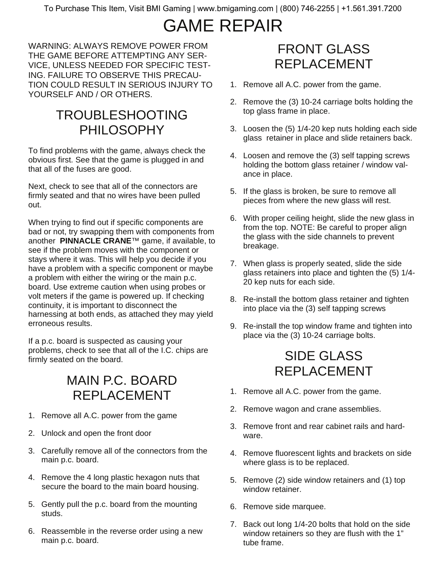# GAME REPAIR

WARNING: ALWAYS REMOVE POWER FROM THE GAME BEFORE ATTEMPTING ANY SER-VICE, UNLESS NEEDED FOR SPECIFIC TEST-ING. FAILURE TO OBSERVE THIS PRECAU-TION COULD RESULT IN SERIOUS INJURY TO YOURSELF AND / OR OTHERS.

### TROUBLESHOOTING PHILOSOPHY

To find problems with the game, always check the obvious first. See that the game is plugged in and that all of the fuses are good.

Next, check to see that all of the connectors are firmly seated and that no wires have been pulled out.

When trying to find out if specific components are bad or not, try swapping them with components from another **PINNACLE CRANE**™ game, if available, to see if the problem moves with the component or stays where it was. This will help you decide if you have a problem with a specific component or maybe a problem with either the wiring or the main p.c. board. Use extreme caution when using probes or volt meters if the game is powered up. If checking continuity, it is important to disconnect the harnessing at both ends, as attached they may yield erroneous results.

If a p.c. board is suspected as causing your problems, check to see that all of the I.C. chips are firmly seated on the board.

### MAIN P.C. BOARD REPLACEMENT

- 1. Remove all A.C. power from the game
- 2. Unlock and open the front door
- 3. Carefully remove all of the connectors from the main p.c. board.
- 4. Remove the 4 long plastic hexagon nuts that secure the board to the main board housing.
- 5. Gently pull the p.c. board from the mounting studs.
- 6. Reassemble in the reverse order using a new main p.c. board.

### FRONT GLASS REPLACEMENT

- 1. Remove all A.C. power from the game.
- 2. Remove the (3) 10-24 carriage bolts holding the top glass frame in place.
- 3. Loosen the (5) 1/4-20 kep nuts holding each side glass retainer in place and slide retainers back.
- 4. Loosen and remove the (3) self tapping screws holding the bottom glass retainer / window valance in place.
- 5. If the glass is broken, be sure to remove all pieces from where the new glass will rest.
- 6. With proper ceiling height, slide the new glass in from the top. NOTE: Be careful to proper align the glass with the side channels to prevent breakage.
- 7. When glass is properly seated, slide the side glass retainers into place and tighten the (5) 1/4- 20 kep nuts for each side.
- 8. Re-install the bottom glass retainer and tighten into place via the (3) self tapping screws
- 9. Re-install the top window frame and tighten into place via the (3) 10-24 carriage bolts.

### SIDE GLASS REPLACEMENT

- 1. Remove all A.C. power from the game.
- 2. Remove wagon and crane assemblies.
- 3. Remove front and rear cabinet rails and hardware.
- 4. Remove fluorescent lights and brackets on side where glass is to be replaced.
- 5. Remove (2) side window retainers and (1) top window retainer.
- 6. Remove side marquee.
- 7. Back out long 1/4-20 bolts that hold on the side window retainers so they are flush with the 1" tube frame.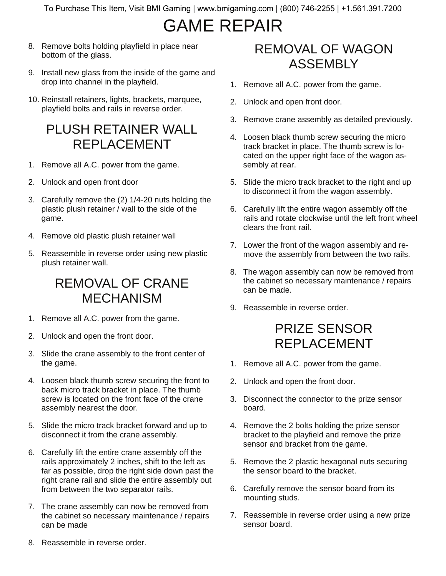## GAME REPAIR

- 8. Remove bolts holding playfield in place near bottom of the glass.
- 9. Install new glass from the inside of the game and drop into channel in the playfield.
- 10. Reinstall retainers, lights, brackets, marquee, playfield bolts and rails in reverse order.

### PLUSH RETAINER WALL REPLACEMENT

- 1. Remove all A.C. power from the game.
- 2. Unlock and open front door
- 3. Carefully remove the (2) 1/4-20 nuts holding the plastic plush retainer / wall to the side of the game.
- 4. Remove old plastic plush retainer wall
- 5. Reassemble in reverse order using new plastic plush retainer wall.

### REMOVAL OF CRANE MECHANISM

- 1. Remove all A.C. power from the game.
- 2. Unlock and open the front door.
- 3. Slide the crane assembly to the front center of the game.
- 4. Loosen black thumb screw securing the front to back micro track bracket in place. The thumb screw is located on the front face of the crane assembly nearest the door.
- 5. Slide the micro track bracket forward and up to disconnect it from the crane assembly.
- 6. Carefully lift the entire crane assembly off the rails approximately 2 inches, shift to the left as far as possible, drop the right side down past the right crane rail and slide the entire assembly out from between the two separator rails.
- 7. The crane assembly can now be removed from the cabinet so necessary maintenance / repairs can be made

### REMOVAL OF WAGON ASSEMBLY

- 1. Remove all A.C. power from the game.
- 2. Unlock and open front door.
- 3. Remove crane assembly as detailed previously.
- 4. Loosen black thumb screw securing the micro track bracket in place. The thumb screw is located on the upper right face of the wagon assembly at rear.
- 5. Slide the micro track bracket to the right and up to disconnect it from the wagon assembly.
- 6. Carefully lift the entire wagon assembly off the rails and rotate clockwise until the left front wheel clears the front rail.
- 7. Lower the front of the wagon assembly and remove the assembly from between the two rails.
- 8. The wagon assembly can now be removed from the cabinet so necessary maintenance / repairs can be made.
- 9. Reassemble in reverse order.

### PRIZE SENSOR REPLACEMENT

- 1. Remove all A.C. power from the game.
- 2. Unlock and open the front door.
- 3. Disconnect the connector to the prize sensor board.
- 4. Remove the 2 bolts holding the prize sensor bracket to the playfield and remove the prize sensor and bracket from the game.
- 5. Remove the 2 plastic hexagonal nuts securing the sensor board to the bracket.
- 6. Carefully remove the sensor board from its mounting studs.
- 7. Reassemble in reverse order using a new prize sensor board.

8. Reassemble in reverse order.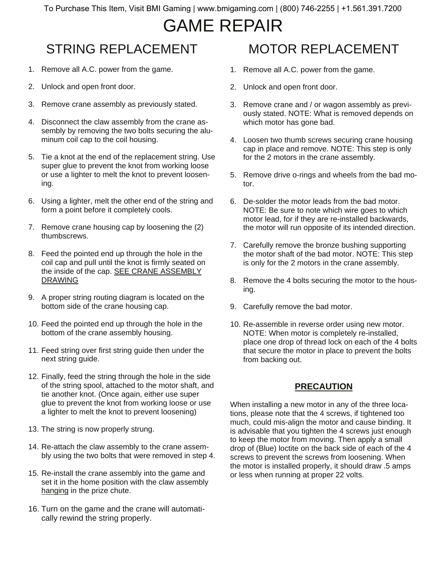## GAME REPAIR

## STRING REPLACEMENT

- 1. Remove all A.C. power from the game.
- 2. Unlock and open front door.
- 3. Remove crane assembly as previously stated.
- 4. Disconnect the claw assembly from the crane assembly by removing the two bolts securing the aluminum coil cap to the coil housing.
- 5. Tie a knot at the end of the replacement string. Use super glue to prevent the knot from working loose or use a lighter to melt the knot to prevent loosening.
- 6. Using a lighter, melt the other end of the string and form a point before it completely cools.
- 7. Remove crane housing cap by loosening the (2) thumbscrews.
- 8. Feed the pointed end up through the hole in the coil cap and pull until the knot is firmly seated on the inside of the cap. SEE CRANE ASSEMBLY **DRAWING**
- 9. A proper string routing diagram is located on the bottom side of the crane housing cap.
- 10. Feed the pointed end up through the hole in the bottom of the crane assembly housing.
- 11. Feed string over first string guide then under the next string guide.
- 12. Finally, feed the string through the hole in the side of the string spool, attached to the motor shaft, and tie another knot. (Once again, either use super glue to prevent the knot from working loose or use a lighter to melt the knot to prevent loosening)
- 13. The string is now properly strung.
- 14. Re-attach the claw assembly to the crane assembly using the two bolts that were removed in step 4.
- 15. Re-install the crane assembly into the game and set it in the home position with the claw assembly hanging in the prize chute.
- 16. Turn on the game and the crane will automatically rewind the string properly.

### MOTOR REPLACEMENT

- 1. Remove all A.C. power from the game.
- 2. Unlock and open front door.
- 3. Remove crane and / or wagon assembly as previously stated. NOTE: What is removed depends on which motor has gone bad.
- 4. Loosen two thumb screws securing crane housing cap in place and remove. NOTE: This step is only for the 2 motors in the crane assembly.
- 5. Remove drive o-rings and wheels from the bad motor.
- 6. De-solder the motor leads from the bad motor. NOTE: Be sure to note which wire goes to which motor lead, for if they are re-installed backwards, the motor will run opposite of its intended direction.
- 7. Carefully remove the bronze bushing supporting the motor shaft of the bad motor. NOTE: This step is only for the 2 motors in the crane assembly.
- 8. Remove the 4 bolts securing the motor to the housing.
- 9. Carefully remove the bad motor.
- 10. Re-assemble in reverse order using new motor. NOTE: When motor is completely re-installed, place one drop of thread lock on each of the 4 bolts that secure the motor in place to prevent the bolts from backing out.

#### **PRECAUTION**

When installing a new motor in any of the three locations, please note that the 4 screws, if tightened too much, could mis-align the motor and cause binding. It is advisable that you tighten the 4 screws just enough to keep the motor from moving. Then apply a small drop of (Blue) loctite on the back side of each of the 4 screws to prevent the screws from loosening. When the motor is installed properly, it should draw .5 amps or less when running at proper 22 volts.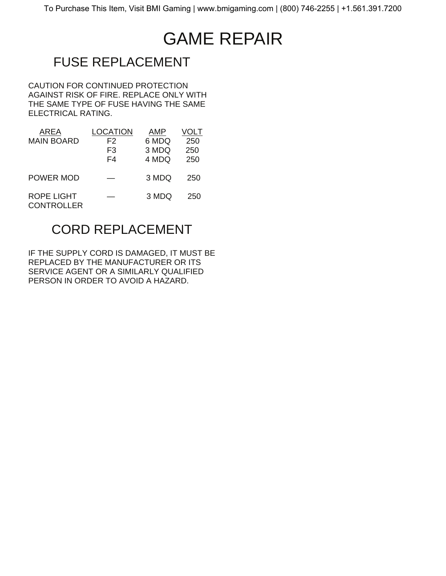# GAME REPAIR

## FUSE REPLACEMENT

CAUTION FOR CONTINUED PROTECTION AGAINST RISK OF FIRE. REPLACE ONLY WITH THE SAME TYPE OF FUSE HAVING THE SAME ELECTRICAL RATING.

| AREA                                   | OCATION | AMP   |     |
|----------------------------------------|---------|-------|-----|
| <b>MAIN BOARD</b>                      | F2      | 6 MDQ | 250 |
|                                        | F3      | 3 MDQ | 250 |
|                                        | F4      | 4 MDQ | 250 |
| POWER MOD                              |         | 3 MDQ | 250 |
| <b>ROPE LIGHT</b><br><b>CONTROLLER</b> |         | 3 MDQ | 250 |

### CORD REPLACEMENT

IF THE SUPPLY CORD IS DAMAGED, IT MUST BE REPLACED BY THE MANUFACTURER OR ITS SERVICE AGENT OR A SIMILARLY QUALIFIED PERSON IN ORDER TO AVOID A HAZARD.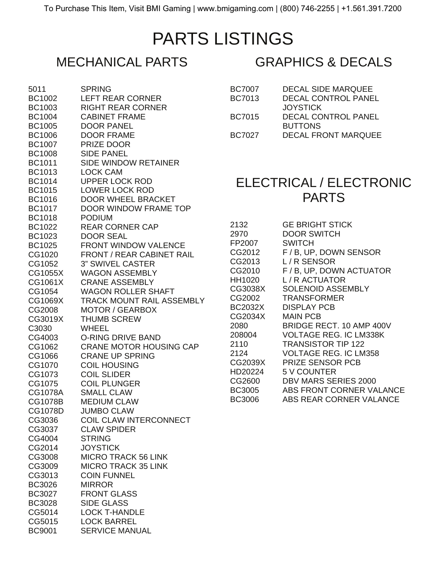## PARTS LISTINGS

| 5011           | SPRING                           |
|----------------|----------------------------------|
| <b>BC1002</b>  | <b>LEFT REAR CORNER</b>          |
| <b>BC1003</b>  | <b>RIGHT REAR CORNER</b>         |
| <b>BC1004</b>  | <b>CABINET FRAME</b>             |
| <b>BC1005</b>  | DOOR PANEL                       |
| <b>BC1006</b>  | <b>DOOR FRAME</b>                |
| <b>BC1007</b>  | PRIZE DOOR                       |
| <b>BC1008</b>  | <b>SIDE PANEL</b>                |
| <b>BC1011</b>  | <b>SIDE WINDOW RETAINER</b>      |
| <b>BC1013</b>  | <b>LOCK CAM</b>                  |
| BC1014         | <b>UPPER LOCK ROD</b>            |
| <b>BC1015</b>  | <b>LOWER LOCK ROD</b>            |
| <b>BC1016</b>  | <b>DOOR WHEEL BRACKET</b>        |
| <b>BC1017</b>  | DOOR WINDOW FRAME TOP            |
| <b>BC1018</b>  | <b>PODIUM</b>                    |
|                |                                  |
| BC1022         | <b>REAR CORNER CAP</b>           |
| <b>BC1023</b>  | <b>DOOR SEAL</b>                 |
| <b>BC1025</b>  | <b>FRONT WINDOW VALENCE</b>      |
| CG1020         | <b>FRONT / REAR CABINET RAIL</b> |
| CG1052         | <b>3" SWIVEL CASTER</b>          |
| CG1055X        | <b>WAGON ASSEMBLY</b>            |
| CG1061X        | <b>CRANE ASSEMBLY</b>            |
| CG1054         | <b>WAGON ROLLER SHAFT</b>        |
| CG1069X        | <b>TRACK MOUNT RAIL ASSEMBLY</b> |
| CG2008         | <b>MOTOR / GEARBOX</b>           |
| CG3019X        | <b>THUMB SCREW</b>               |
| C3030          | <b>WHEEL</b>                     |
| CG4003         | <b>O-RING DRIVE BAND</b>         |
| CG1062         | <b>CRANE MOTOR HOUSING CAP</b>   |
| CG1066         | <b>CRANE UP SPRING</b>           |
| CG1070         | <b>COIL HOUSING</b>              |
| CG1073         | <b>COIL SLIDER</b>               |
| CG1075         | <b>COIL PLUNGER</b>              |
| CG1078A        | <b>SMALL CLAW</b>                |
| <b>CG1078B</b> | <b>MEDIUM CLAW</b>               |
| CG1078D        | <b>JUMBO CLAW</b>                |
| CG3036         | <b>COIL CLAW INTERCONNECT</b>    |
| CG3037         | <b>CLAW SPIDER</b>               |
| CG4004         | <b>STRING</b>                    |
| CG2014         | <b>JOYSTICK</b>                  |
| CG3008         | <b>MICRO TRACK 56 LINK</b>       |
| CG3009         | <b>MICRO TRACK 35 LINK</b>       |
| CG3013         | <b>COIN FUNNEL</b>               |
| <b>BC3026</b>  | <b>MIRROR</b>                    |
| <b>BC3027</b>  | <b>FRONT GLASS</b>               |
| <b>BC3028</b>  | <b>SIDE GLASS</b>                |
|                | <b>LOCK T-HANDLE</b>             |
| CG5014         | <b>LOCK BARREL</b>               |
| CG5015         |                                  |
| <b>BC9001</b>  | <b>SERVICE MANUAL</b>            |

### MECHANICAL PARTS GRAPHICS & DECALS

| <b>BC7007</b> | <b>DECAL SIDE MARQUEE</b>  |
|---------------|----------------------------|
| <b>BC7013</b> | <b>DECAL CONTROL PANEL</b> |
|               | <b>JOYSTICK</b>            |
| <b>BC7015</b> | <b>DECAL CONTROL PANEL</b> |
|               | <b>BUTTONS</b>             |
| <b>BC7027</b> | <b>DECAL FRONT MARQUEE</b> |
|               |                            |

### ELECTRICAL / ELECTRONIC PARTS

| 2132    | <b>GE BRIGHT STICK</b>        |
|---------|-------------------------------|
| 2970    | <b>DOOR SWITCH</b>            |
| FP2007  | SWITCH                        |
| CG2012  | F / B, UP, DOWN SENSOR        |
| CG2013  | L/R SENSOR                    |
| CG2010  | F / B, UP, DOWN ACTUATOR      |
| HH1020  | L/R ACTUATOR                  |
| CG3038X | SOLENOID ASSEMBLY             |
| CG2002  | <b>TRANSFORMER</b>            |
| BC2032X | <b>DISPLAY PCB</b>            |
| CG2034X | <b>MAIN PCB</b>               |
| 2080    | BRIDGE RECT. 10 AMP 400V      |
| 208004  | <b>VOLTAGE REG. IC LM338K</b> |
| 2110    | <b>TRANSISTOR TIP 122</b>     |
| 2124    | VOLTAGE REG. IC LM358         |
| CG2039X | <b>PRIZE SENSOR PCB</b>       |
| HD20224 | 5 V COUNTER                   |
| CG2600  | DBV MARS SERIES 2000          |
| BC3005  | ABS FRONT CORNER VALANCE      |
| BC3006  | ABS REAR CORNER VALANCE       |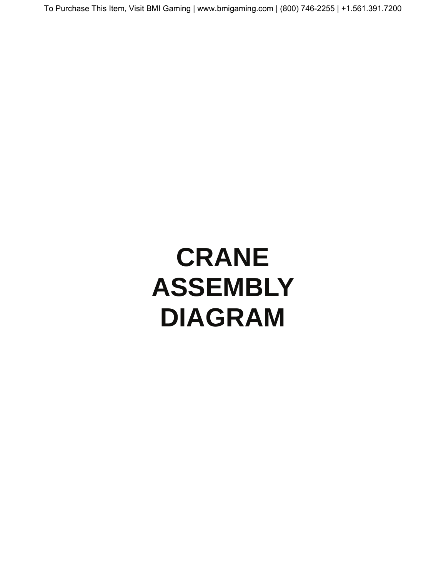# **CRANE ASSEMBLY DIAGRAM**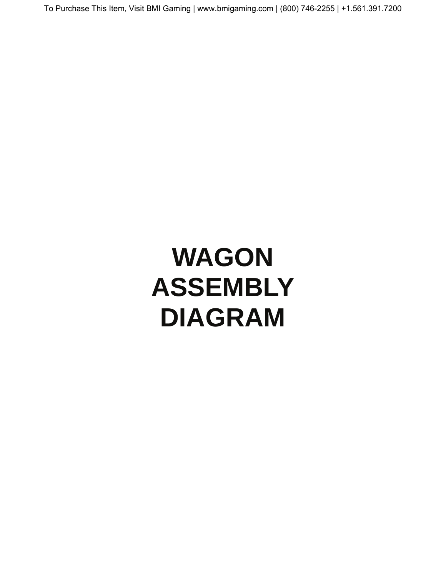# **WAGON ASSEMBLY DIAGRAM**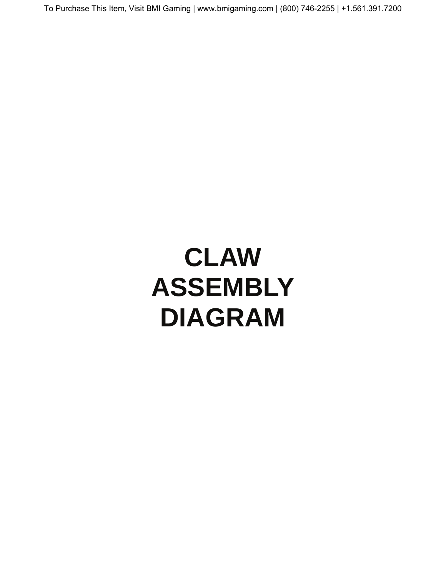# **CLAW ASSEMBLY DIAGRAM**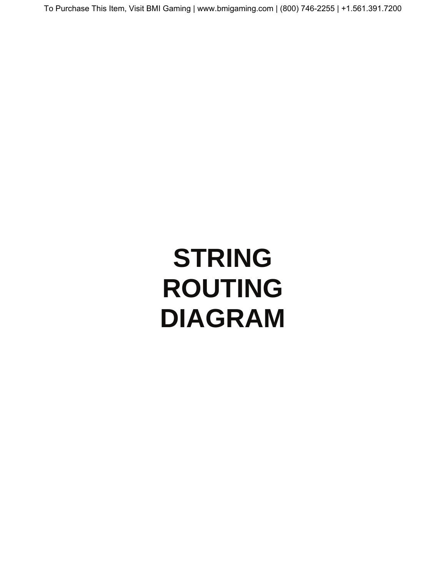# **STRING ROUTING DIAGRAM**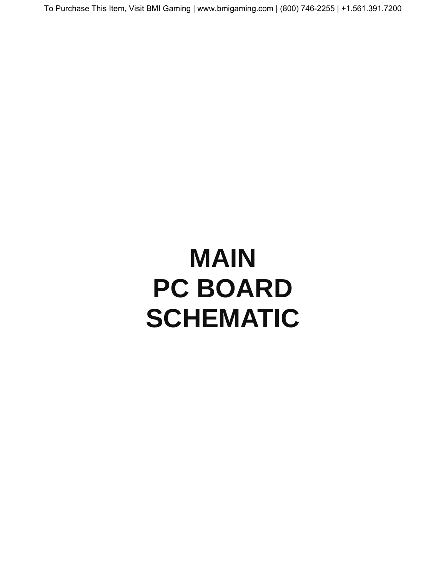# **MAIN PC BOARD SCHEMATIC**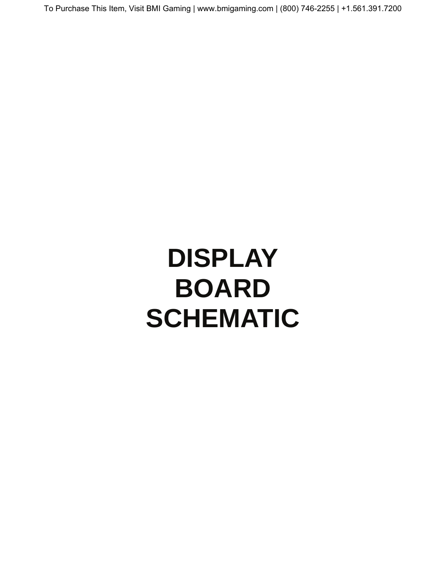# **DISPLAY BOARD SCHEMATIC**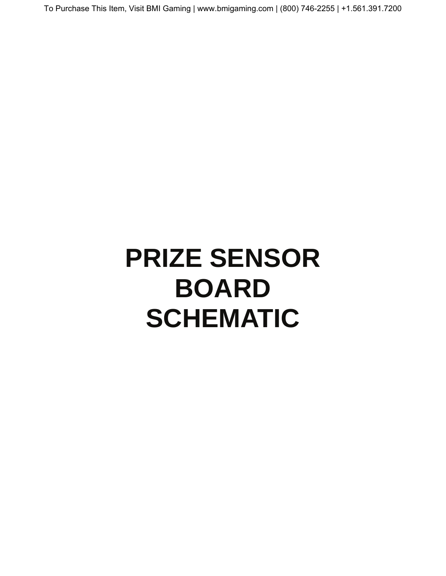# **PRIZE SENSOR BOARD SCHEMATIC**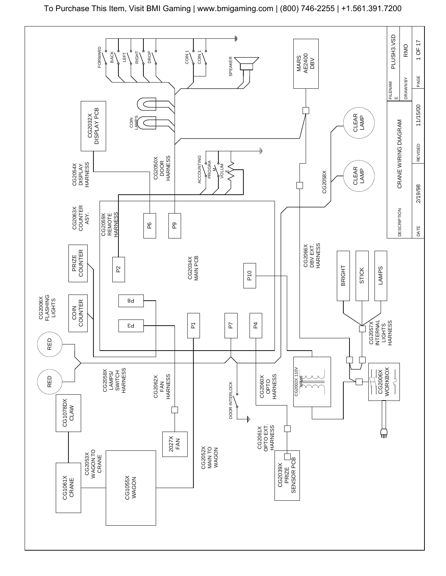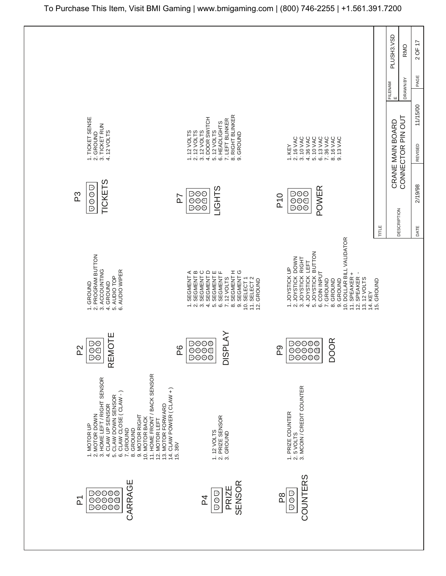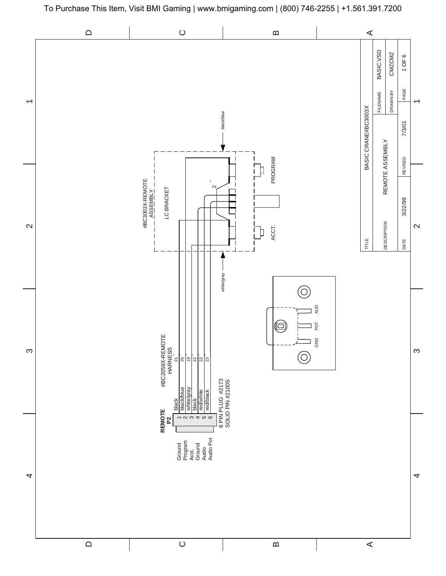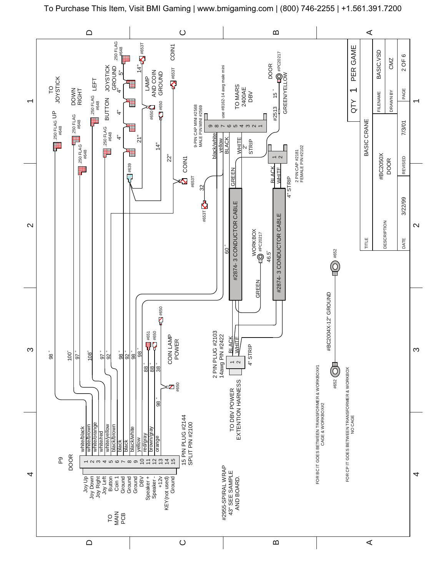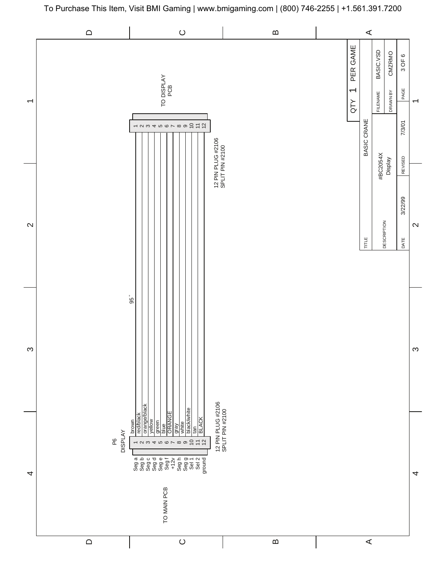

To Purchase This Item, Visit BMI Gaming | www.bmigaming.com | (800) 746-2255 | +1.561.391.7200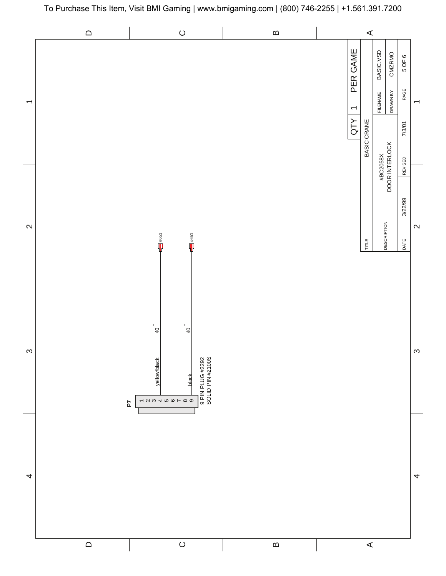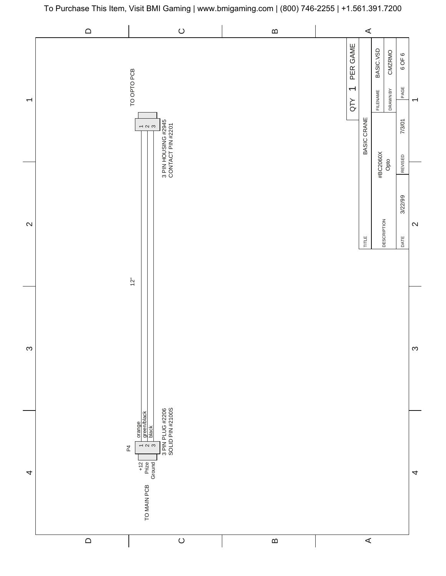

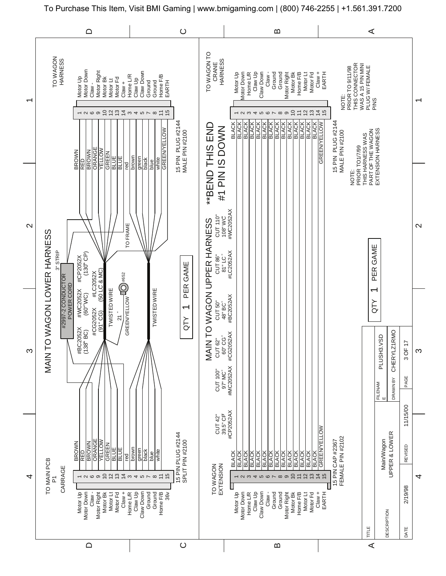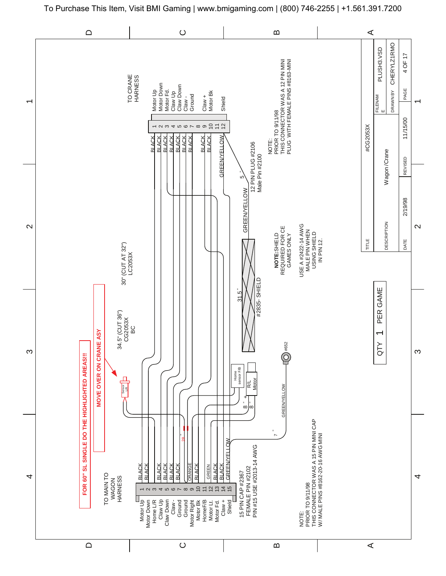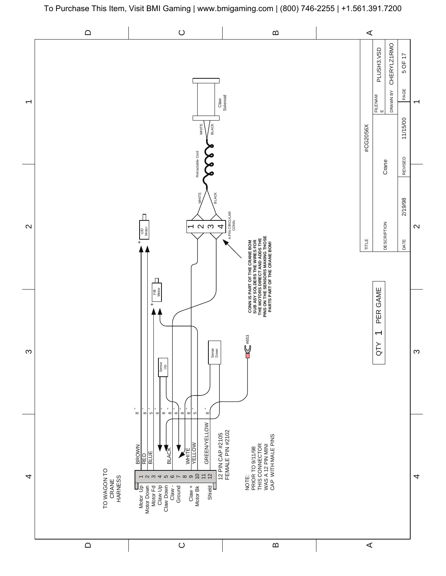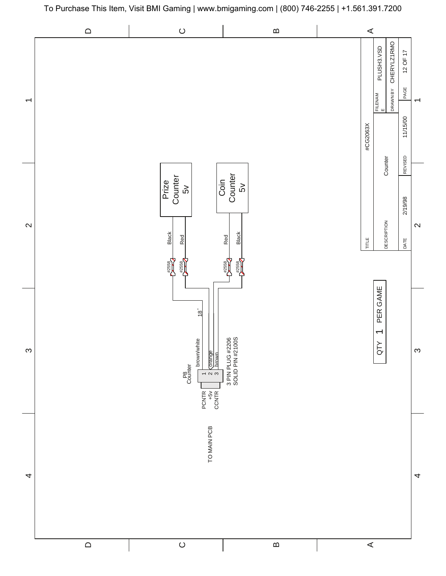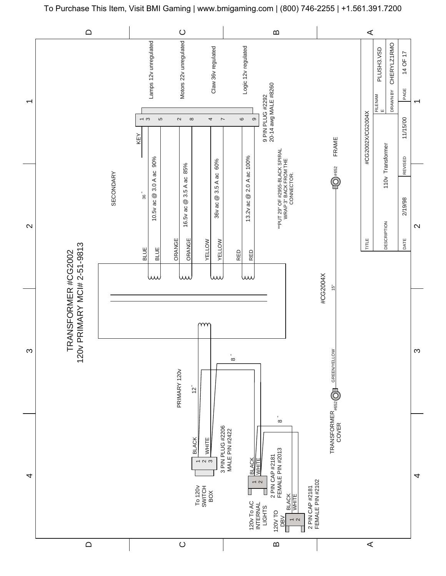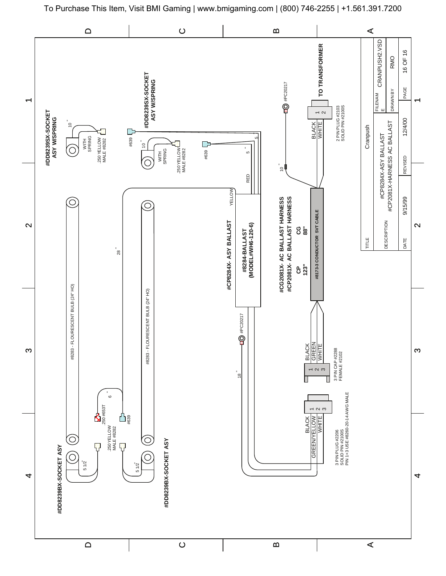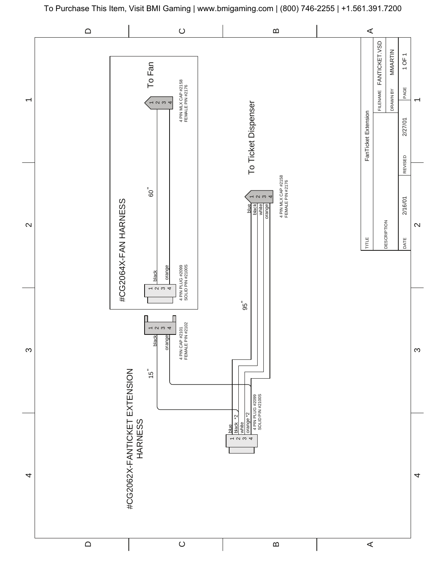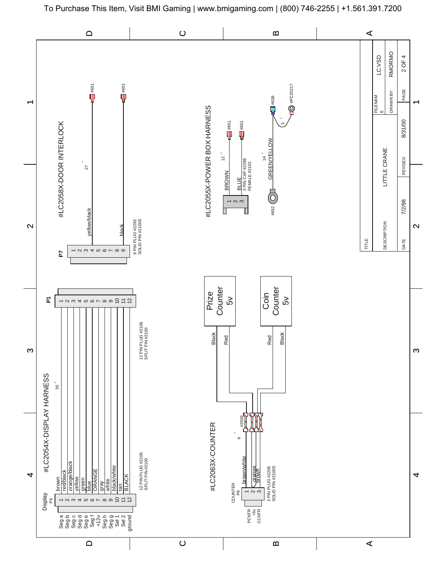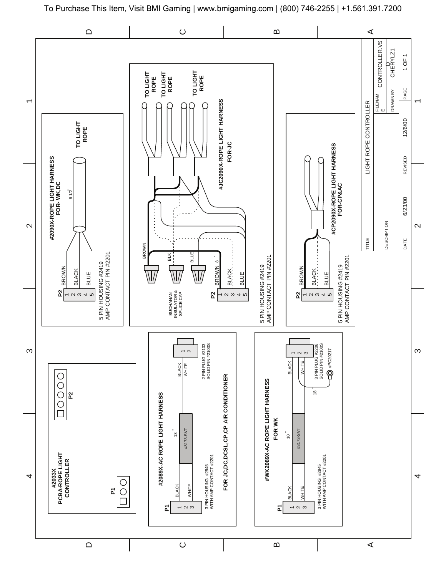